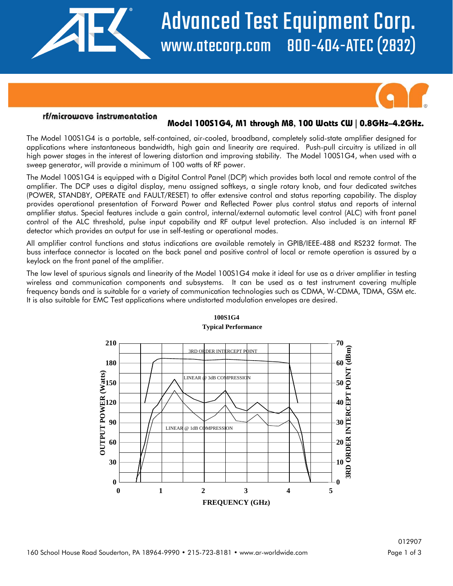

# Advanced Test Equipment Corp. www.atecorp.com 800-404-ATEC (2832)



### rf/microwave instrumentation

## **Model 100S1G4, M1 through M8, 100 Watts CW | 0.8GHz–4.2GHz.**

The Model 100S1G4 is a portable, self-contained, air-cooled, broadband, completely solid-state amplifier designed for applications where instantaneous bandwidth, high gain and linearity are required. Push-pull circuitry is utilized in all high power stages in the interest of lowering distortion and improving stability. The Model 100S1G4, when used with a sweep generator, will provide a minimum of 100 watts of RF power.

The Model 100S1G4 is equipped with a Digital Control Panel (DCP) which provides both local and remote control of the amplifier. The DCP uses a digital display, menu assigned softkeys, a single rotary knob, and four dedicated switches (POWER, STANDBY, OPERATE and FAULT/RESET) to offer extensive control and status reporting capability. The display provides operational presentation of Forward Power and Reflected Power plus control status and reports of internal amplifier status. Special features include a gain control, internal/external automatic level control (ALC) with front panel control of the ALC threshold, pulse input capability and RF output level protection. Also included is an internal RF detector which provides an output for use in self-testing or operational modes.

All amplifier control functions and status indications are available remotely in GPIB/IEEE-488 and RS232 format. The buss interface connector is located on the back panel and positive control of local or remote operation is assured by a keylock on the front panel of the amplifier.

The low level of spurious signals and linearity of the Model 100S1G4 make it ideal for use as a driver amplifier in testing wireless and communication components and subsystems. It can be used as a test instrument covering multiple frequency bands and is suitable for a variety of communication technologies such as CDMA, W-CDMA, TDMA, GSM etc. It is also suitable for EMC Test applications where undistorted modulation envelopes are desired.



#### **100S1G4 Typical Performance**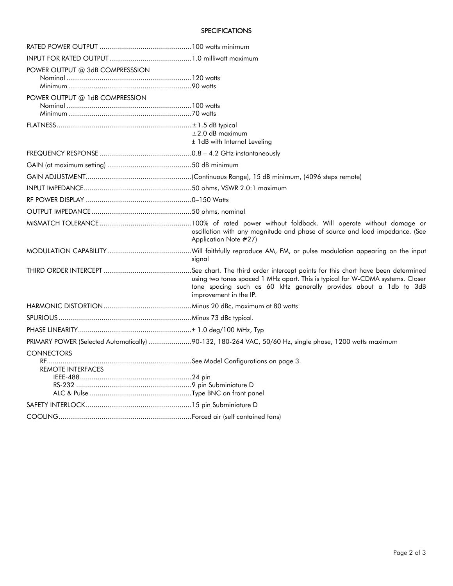#### **SPECIFICATIONS**

| POWER OUTPUT @ 3dB COMPRESSSION               |                                                                                                                                                                               |
|-----------------------------------------------|-------------------------------------------------------------------------------------------------------------------------------------------------------------------------------|
| POWER OUTPUT @ 1dB COMPRESSION                |                                                                                                                                                                               |
|                                               | $\pm 2.0$ dB maximum<br>± 1dB with Internal Leveling                                                                                                                          |
|                                               |                                                                                                                                                                               |
|                                               |                                                                                                                                                                               |
|                                               |                                                                                                                                                                               |
|                                               |                                                                                                                                                                               |
|                                               |                                                                                                                                                                               |
|                                               |                                                                                                                                                                               |
|                                               | oscillation with any magnitude and phase of source and load impedance. (See<br>Application Note #27)                                                                          |
|                                               | signal                                                                                                                                                                        |
|                                               | using two tones spaced 1 MHz apart. This is typical for W-CDMA systems. Closer<br>tone spacing such as 60 kHz generally provides about a 1db to 3dB<br>improvement in the IP. |
|                                               |                                                                                                                                                                               |
|                                               |                                                                                                                                                                               |
|                                               |                                                                                                                                                                               |
|                                               | PRIMARY POWER (Selected Automatically) 90-132, 180-264 VAC, 50/60 Hz, single phase, 1200 watts maximum                                                                        |
| <b>CONNECTORS</b><br><b>REMOTE INTERFACES</b> |                                                                                                                                                                               |
|                                               |                                                                                                                                                                               |
|                                               |                                                                                                                                                                               |
|                                               |                                                                                                                                                                               |